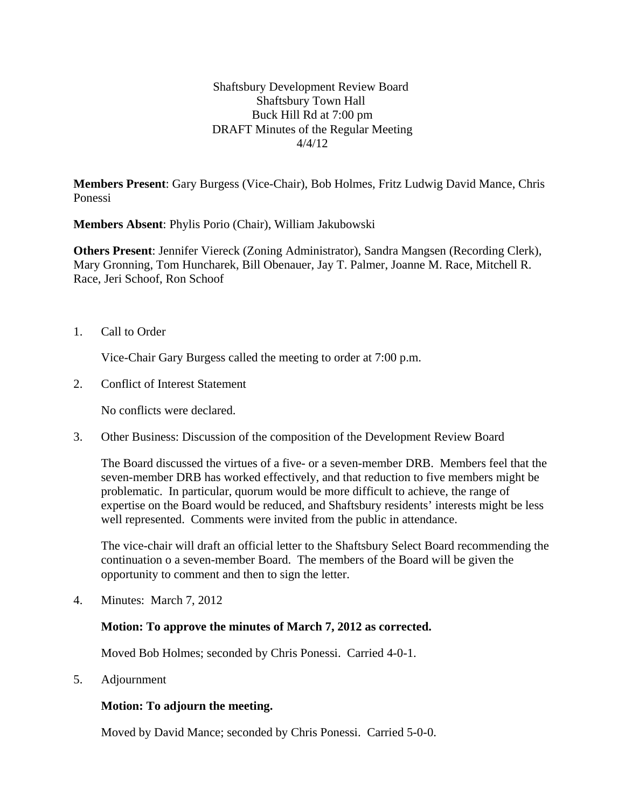Shaftsbury Development Review Board Shaftsbury Town Hall Buck Hill Rd at 7:00 pm DRAFT Minutes of the Regular Meeting 4/4/12

**Members Present**: Gary Burgess (Vice-Chair), Bob Holmes, Fritz Ludwig David Mance, Chris Ponessi

**Members Absent**: Phylis Porio (Chair), William Jakubowski

**Others Present**: Jennifer Viereck (Zoning Administrator), Sandra Mangsen (Recording Clerk), Mary Gronning, Tom Huncharek, Bill Obenauer, Jay T. Palmer, Joanne M. Race, Mitchell R. Race, Jeri Schoof, Ron Schoof

1. Call to Order

Vice-Chair Gary Burgess called the meeting to order at 7:00 p.m.

2. Conflict of Interest Statement

No conflicts were declared.

3. Other Business: Discussion of the composition of the Development Review Board

The Board discussed the virtues of a five- or a seven-member DRB. Members feel that the seven-member DRB has worked effectively, and that reduction to five members might be problematic. In particular, quorum would be more difficult to achieve, the range of expertise on the Board would be reduced, and Shaftsbury residents' interests might be less well represented. Comments were invited from the public in attendance.

The vice-chair will draft an official letter to the Shaftsbury Select Board recommending the continuation o a seven-member Board. The members of the Board will be given the opportunity to comment and then to sign the letter.

4. Minutes: March 7, 2012

## **Motion: To approve the minutes of March 7, 2012 as corrected.**

Moved Bob Holmes; seconded by Chris Ponessi. Carried 4-0-1.

5. Adjournment

## **Motion: To adjourn the meeting.**

Moved by David Mance; seconded by Chris Ponessi. Carried 5-0-0.